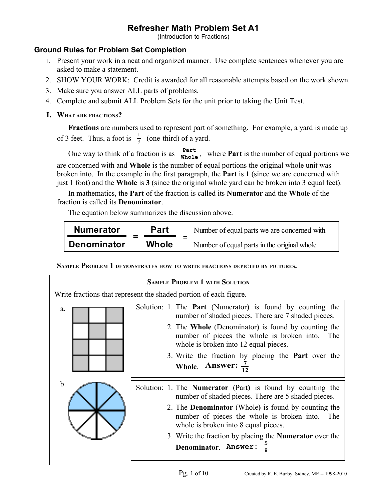(Introduction to Fractions)

## **Ground Rules for Problem Set Completion**

- 1. Present your work in a neat and organized manner. Use complete sentences whenever you are asked to make a statement.
- 2. SHOW YOUR WORK: Credit is awarded for all reasonable attempts based on the work shown.
- 3. Make sure you answer ALL parts of problems.
- 4. Complete and submit ALL Problem Sets for the unit prior to taking the Unit Test.

## **I. WHAT ARE FRACTIONS?**

**Fractions** are numbers used to represent part of something. For example, a yard is made up of 3 feet. Thus, a foot is  $\frac{1}{3}$  (one-third) of a yard.

One way to think of a fraction is as  $\frac{Part}{Whole}$ , where **Part** is the number of equal portions we are concerned with and **Whole** is the number of equal portions the original whole unit was broken into. In the example in the first paragraph, the **Part** is **1** (since we are concerned with just 1 foot) and the **Whole** is **3** (since the original whole yard can be broken into 3 equal feet).

In mathematics, the **Part** of the fraction is called its **Numerator** and the **Whole** of the fraction is called its **Denominator**.

The equation below summarizes the discussion above.

| <b>Numerator</b>   | <b>Part</b>  | Number of equal parts we are concerned with |  |
|--------------------|--------------|---------------------------------------------|--|
| <b>Denominator</b> | <b>Whole</b> | Number of equal parts in the original whole |  |

**SAMPLE PROBLEM 1 DEMONSTRATES HOW TO WRITE FRACTIONS DEPICTED BY PICTURES.** 

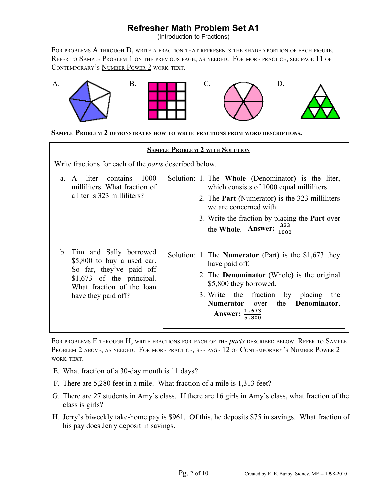(Introduction to Fractions)

FOR PROBLEMS A THROUGH D, WRITE A FRACTION THAT REPRESENTS THE SHADED PORTION OF EACH FIGURE. REFER TO SAMPLE PROBLEM 1 ON THE PREVIOUS PAGE, AS NEEDED. FOR MORE PRACTICE, SEE PAGE 11 OF CONTEMPORARY'S NUMBER POWER 2 WORK-TEXT.



**SAMPLE PROBLEM 2 DEMONSTRATES HOW TO WRITE FRACTIONS FROM WORD DESCRIPTIONS.** 

|                                                                                                                                                                        | <b>SAMPLE PROBLEM 2 WITH SOLUTION</b>                                                                                                                                                                                                                                                       |
|------------------------------------------------------------------------------------------------------------------------------------------------------------------------|---------------------------------------------------------------------------------------------------------------------------------------------------------------------------------------------------------------------------------------------------------------------------------------------|
| Write fractions for each of the <i>parts</i> described below.                                                                                                          |                                                                                                                                                                                                                                                                                             |
| 1000<br>contains<br>a. A liter<br>milliliters. What fraction of<br>a liter is 323 milliliters?                                                                         | Solution: 1. The <b>Whole</b> (Denominator) is the liter,<br>which consists of 1000 equal milliliters.<br>2. The <b>Part</b> (Numerator) is the 323 milliliters<br>we are concerned with.<br>3. Write the fraction by placing the <b>Part</b> over<br>the Whole. Answer: $\frac{323}{1000}$ |
| b. Tim and Sally borrowed<br>$$5,800$ to buy a used car.<br>So far, they've paid off<br>$$1,673$ of the principal.<br>What fraction of the loan<br>have they paid off? | Solution: 1. The <b>Numerator</b> (Part) is the $$1,673$ they<br>have paid off.<br>2. The <b>Denominator</b> (Whole) is the original<br>\$5,800 they borrowed.<br>3. Write the fraction by placing<br>the<br>Denominator.<br>Numerator over<br>the<br>$\frac{1,673}{5,800}$<br>Answer:      |

FOR PROBLEMS E THROUGH H, WRITE FRACTIONS FOR EACH OF THE *parts* DESCRIBED BELOW. REFER TO SAMPLE PROBLEM 2 ABOVE, AS NEEDED. FOR MORE PRACTICE, SEE PAGE 12 OF CONTEMPORARY'S NUMBER POWER 2 WORK-TEXT.

- E. What fraction of a 30-day month is 11 days?
- F. There are 5,280 feet in a mile. What fraction of a mile is 1,313 feet?
- G. There are 27 students in Amy's class. If there are 16 girls in Amy's class, what fraction of the class is girls?
- H. Jerry's biweekly take-home pay is \$961. Of this, he deposits \$75 in savings. What fraction of his pay does Jerry deposit in savings.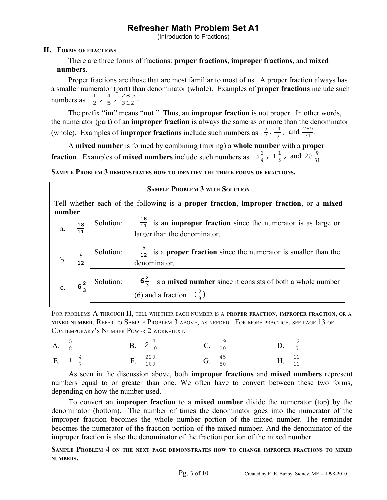(Introduction to Fractions)

## **II. FORMS OF FRACTIONS**

There are three forms of fractions: **proper fractions**, **improper fractions**, and **mixed numbers**.

Proper fractions are those that are most familiar to most of us. A proper fraction always has a smaller numerator (part) than denominator (whole). Examples of **proper fractions** include such numbers as  $\frac{1}{2}$ ,  $\frac{4}{5}$  $\frac{4}{5}$ ,  $\frac{289}{312}$ .

The prefix "**im**" means "**not**." Thus, an **improper fraction** is not proper. In other words, the numerator (part) of an **improper fraction** is always the same as or more than the denominator (whole). Examples of **improper fractions** include such numbers as  $\frac{5}{2}$ ,  $\frac{11}{5}$  $\frac{11}{5}$ , and  $\frac{289}{31}$ .

A **mixed number** is formed by combining (mixing) a **whole number** with a **proper fraction**. Examples of **mixed numbers** include such numbers as  $3\frac{3}{4}$  $\frac{3}{4}$ , 1 $\frac{1}{5}$  $\frac{1}{5}$ , and  $28\frac{9}{31}$ .

**SAMPLE PROBLEM 3 DEMONSTRATES HOW TO IDENTIFY THE THREE FORMS OF FRACTIONS.** 

|     | <b>SAMPLE PROBLEM 3 WITH SOLUTION</b>                                                             |                                                                                                                                    |  |  |  |  |  |
|-----|---------------------------------------------------------------------------------------------------|------------------------------------------------------------------------------------------------------------------------------------|--|--|--|--|--|
|     | Tell whether each of the following is a proper fraction, improper fraction, or a mixed<br>number. |                                                                                                                                    |  |  |  |  |  |
|     | a. $\frac{18}{11}$                                                                                | Solution: $\frac{18}{11}$ is an <b>improper fraction</b> since the numerator is as large or<br>larger than the denominator.        |  |  |  |  |  |
| $b$ | $\frac{5}{12}$                                                                                    | $\frac{5}{12}$ is a <b>proper fraction</b> since the numerator is smaller than the<br>Solution:<br>denominator.                    |  |  |  |  |  |
|     | c. $6\frac{2}{3}$                                                                                 | Solution: $6\frac{2}{3}$ is a <b>mixed number</b> since it consists of both a whole number<br>(6) and a fraction $(\frac{2}{3})$ . |  |  |  |  |  |

FOR PROBLEMS A THROUGH H, TELL WHETHER EACH NUMBER IS <sup>A</sup> **PROPER FRACTION**, **IMPROPER FRACTION**, OR <sup>A</sup> **MIXED NUMBER**. REFER TO SAMPLE PROBLEM 3 ABOVE, AS NEEDED. FOR MORE PRACTICE, SEE PAGE 13 OF CONTEMPORARY'S NUMBER POWER 2 WORK-TEXT.

| A. $\frac{5}{8}$ |                    | <b>B.</b> $2\frac{7}{10}$ | <b>C.</b> $\frac{19}{20}$ | <b>D.</b> $\frac{12}{5}$ |  |
|------------------|--------------------|---------------------------|---------------------------|--------------------------|--|
|                  | E. $11\frac{4}{7}$ | F. $\frac{220}{100}$      | G. $\frac{45}{50}$        | H. $\frac{11}{11}$       |  |

As seen in the discussion above, both **improper fractions** and **mixed numbers** represent numbers equal to or greater than one. We often have to convert between these two forms, depending on how the number used.

To convert an **improper fraction** to a **mixed number** divide the numerator (top) by the denominator (bottom). The number of times the denominator goes into the numerator of the improper fraction becomes the whole number portion of the mixed number. The remainder becomes the numerator of the fraction portion of the mixed number. And the denominator of the improper fraction is also the denominator of the fraction portion of the mixed number.

**SAMPLE PROBLEM 4 ON THE NEXT PAGE DEMONSTRATES HOW TO CHANGE IMPROPER FRACTIONS TO MIXED NUMBERS.**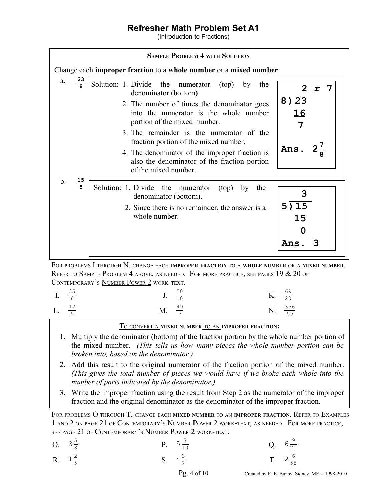(Introduction to Fractions)

|                                        | <b>SAMPLE PROBLEM 4 WITH SOLUTION</b>                                                                                                                                                                                                                                                                                                                                                                                          |                                 |
|----------------------------------------|--------------------------------------------------------------------------------------------------------------------------------------------------------------------------------------------------------------------------------------------------------------------------------------------------------------------------------------------------------------------------------------------------------------------------------|---------------------------------|
|                                        | Change each improper fraction to a whole number or a mixed number.                                                                                                                                                                                                                                                                                                                                                             |                                 |
| 23<br>a.                               | Solution: 1. Divide<br>the<br>numerator<br>(top)<br>by<br>the<br>denominator (bottom).<br>2. The number of times the denominator goes<br>into the numerator is the whole number<br>portion of the mixed number.<br>3. The remainder is the numerator of the<br>fraction portion of the mixed number.<br>4. The denominator of the improper fraction is<br>also the denominator of the fraction portion<br>of the mixed number. | 2r7<br>8) 23<br>16<br>7<br>Ans. |
| $\mathbf{b}$ .<br>15<br>$\overline{5}$ | Solution: 1. Divide<br>the<br>numerator<br>(top)<br>the<br>by<br>denominator (bottom).<br>2. Since there is no remainder, the answer is a<br>whole number.                                                                                                                                                                                                                                                                     | 3<br>5)15<br>15<br>Ans          |

FOR PROBLEMS I THROUGH N, CHANGE EACH **IMPROPER FRACTION** TO <sup>A</sup> **WHOLE NUMBER** OR <sup>A</sup> **MIXED NUMBER**. REFER TO SAMPLE PROBLEM 4 ABOVE, AS NEEDED. FOR MORE PRACTICE, SEE PAGES 19  $&$  20 of CONTEMPORARY'S NUMBER POWER 2 WORK-TEXT.

| I. $\frac{35}{8}$ |                          | <b>J</b> . $\frac{50}{10}$ | <b>K.</b> $\frac{69}{20}$ |                     |
|-------------------|--------------------------|----------------------------|---------------------------|---------------------|
| L. $\frac{12}{5}$ | <b>M.</b> $\frac{49}{7}$ |                            |                           | N. $\frac{356}{55}$ |

T<sup>O</sup> CONVERT <sup>A</sup> **MIXED NUMBER** TO AN **IMPROPER FRACTION:**

- 1. Multiply the denominator (bottom) of the fraction portion by the whole number portion of the mixed number. *(This tells us how many pieces the whole number portion can be broken into, based on the denominator.)*
- 2. Add this result to the original numerator of the fraction portion of the mixed number. *(This gives the total number of pieces we would have if we broke each whole into the number of parts indicated by the denominator.)*
- 3. Write the improper fraction using the result from Step 2 as the numerator of the improper fraction and the original denominator as the denominator of the improper fraction.

FOR PROBLEMS O THROUGH T, CHANGE EACH **MIXED NUMBER** TO AN **IMPROPER FRACTION**. REFER TO EXAMPLES 1 AND 2 ON PAGE 21 OF CONTEMPORARY'S NUMBER POWER 2 WORK-TEXT, AS NEEDED. FOR MORE PRACTICE, SEE PAGE 21 OF CONTEMPORARY'S NUMBER POWER 2 WORK-TEXT.

| O. $3\frac{5}{8}$ | <b>P.</b> $5\frac{7}{10}$ |                                 |                                  | Q. $6\frac{9}{20}$ |
|-------------------|---------------------------|---------------------------------|----------------------------------|--------------------|
| R. $1\frac{2}{5}$ | S. $4\frac{3}{7}$         |                                 |                                  | T. $2\frac{6}{55}$ |
|                   |                           | $D_{\alpha}$ $\sim$ 4 $\sim$ 10 | $Q \cup H$ <b>DED</b> $I \cap Q$ |                    |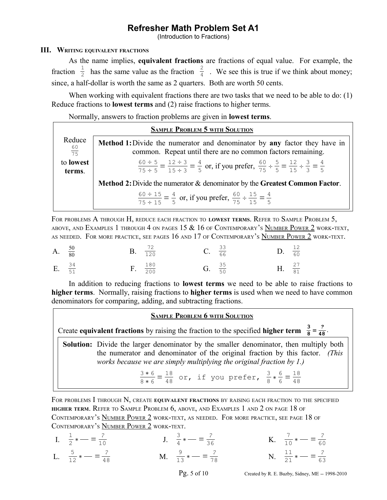(Introduction to Fractions)

## **III. WRITING EQUIVALENT FRACTIONS**

As the name implies, **equivalent fractions** are fractions of equal value. For example, the fraction  $\frac{1}{2}$  has the same value as the fraction  $\frac{2}{4}$ . We see this is true if we think about money; since, a half-dollar is worth the same as 2 quarters. Both are worth 50 cents.

When working with equivalent fractions there are two tasks that we need to be able to do: (1) Reduce fractions to **lowest terms** and (2) raise fractions to higher terms.

Normally, answers to fraction problems are given in **lowest terms**.

|                            | <b>SAMPLE PROBLEM 5 WITH SOLUTION</b>                                                                                                                                        |
|----------------------------|------------------------------------------------------------------------------------------------------------------------------------------------------------------------------|
| Reduce<br>$rac{60}{75}$    | <b>Method 1:</b> Divide the numerator and denominator by <b>any</b> factor they have in<br>common. Repeat until there are no common factors remaining.                       |
| to <b>lowest</b><br>terms. | $\frac{60 \div 5}{75 \div 5} = \frac{12 \div 3}{15 \div 3} = \frac{4}{5}$ or, if you prefer, $\frac{60}{75} \div \frac{5}{5} = \frac{12}{15} \div \frac{3}{3} = \frac{4}{5}$ |
|                            | Method 2: Divide the numerator & denominator by the Greatest Common Factor.                                                                                                  |
|                            | $\frac{60 \div 15}{75 \div 15} = \frac{4}{5}$ or, if you prefer, $\frac{60}{75} \div \frac{15}{15} = \frac{4}{5}$                                                            |

FOR PROBLEMS A THROUGH H, REDUCE EACH FRACTION TO **LOWEST TERMS**. REFER TO SAMPLE PROBLEM 5, ABOVE, AND EXAMPLES 1 THROUGH 4 ON PAGES 15  $\&$  16 of Contemporary's Number Power 2 work-text, AS NEEDED. FOR MORE PRACTICE, SEE PAGES 16 AND 17 OF CONTEMPORARY'S NUMBER POWER 2 WORK-TEXT.

| A. $\frac{50}{80}$ |  | <b>B.</b> $\frac{72}{120}$ | <b>C.</b> $\frac{33}{66}$ | D. $\frac{12}{60}$ |  |
|--------------------|--|----------------------------|---------------------------|--------------------|--|
| E. $\frac{34}{51}$ |  | $F. \frac{180}{200}$       | G. $\frac{35}{50}$        | H. $\frac{27}{81}$ |  |

In addition to reducing fractions to **lowest terms** we need to be able to raise fractions to **higher terms**. Normally, raising fractions to **higher terms** is used when we need to have common denominators for comparing, adding, and subtracting fractions.

#### **SAMPLE PROBLEM 6 WITH SOLUTION**

Create **equivalent fractions** by raising the fraction to the specified **higher term**  $\frac{3}{8} = \frac{?}{48}$ .

**Solution:** Divide the larger denominator by the smaller denominator, then multiply both the numerator and denominator of the original fraction by this factor. *(This works because we are simply multiplying the original fraction by 1.)*

> 3 ∗ 6  $\frac{3*6}{8*6} = \frac{18}{48}$  or, if you prefer,  $\frac{3}{8} * \frac{6}{6}$  $\frac{6}{6} = \frac{18}{48}$ 48

FOR PROBLEMS I THROUGH N, CREATE **EQUIVALENT FRACTIONS** BY RAISING EACH FRACTION TO THE SPECIFIED **HIGHER TERM**. REFER TO SAMPLE PROBLEM 6, ABOVE, AND EXAMPLES 1 AND 2 ON PAGE 18 OF CONTEMPORARY'S NUMBER POWER 2 WORK-TEXT, AS NEEDED. FOR MORE PRACTICE, SEE PAGE 18 OF CONTEMPORARY'S NUMBER POWER 2 WORK-TEXT.

| I. $\frac{1}{2}$ * - = $\frac{?}{10}$  | J. $\frac{3}{4}$ * - = $\frac{?}{36}$                                 | K. $\frac{7}{10}$ * $\frac{2}{10}$ = $\frac{?}{60}$ |
|----------------------------------------|-----------------------------------------------------------------------|-----------------------------------------------------|
| L. $\frac{5}{12}$ * - = $\frac{?}{48}$ | <b>M.</b> $\frac{9}{13} \ast \underline{\hspace{1cm}} = \frac{?}{78}$ | N. $\frac{11}{21}$ * - = $\frac{?}{63}$             |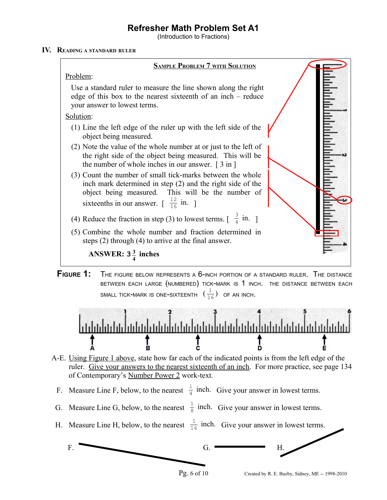(Introduction to Fractions)

## **IV. READING <sup>A</sup> STANDARD RULER**







- A-E. Using Figure 1 above, state how far each of the indicated points is from the left edge of the ruler. Give your answers to the nearest sixteenth of an inch. For more practice, see page 134 of Contemporary's Number Power 2 work-text.
- F. Measure Line F, below, to the nearest  $\frac{1}{4}$  inch. Give your answer in lowest terms.
- G. Measure Line G, below, to the nearest  $\frac{1}{8}$  inch. Give your answer in lowest terms.
- H. Measure Line H, below, to the nearest  $\frac{1}{16}$  inch. Give your answer in lowest terms.

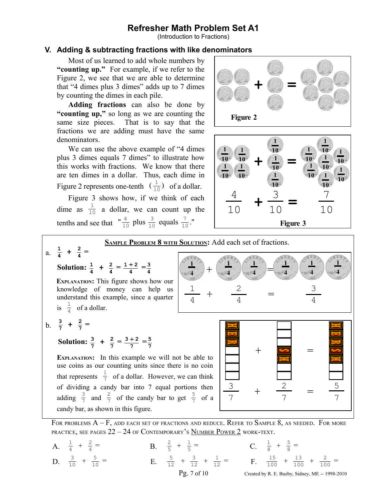(Introduction to Fractions)

## **V. Adding & subtracting fractions with like denominators**

Most of us learned to add whole numbers by **"counting up."** For example, if we refer to the Figure 2, we see that we are able to determine that "4 dimes plus 3 dimes" adds up to 7 dimes by counting the dimes in each pile.

**Adding fractions** can also be done by **"counting up,"** so long as we are counting the same size pieces. That is to say that the fractions we are adding must have the same denominators.

We can use the above example of "4 dimes plus 3 dimes equals 7 dimes" to illustrate how this works with fractions. We know that there are ten dimes in a dollar. Thus, each dime in Figure 2 represents one-tenth  $\left(\frac{1}{10}\right)$  of a dollar.

Figure 3 shows how, if we think of each dime as  $\frac{1}{10}$  a dollar, we can count up the tenths and see that  $\int_{10}^{4}$  plus  $\frac{3}{10}$  equals  $\frac{7}{10}$ ."

candy bar, as shown in this figure.



#### **SAMPLE PROBLEM 8 WITH SOLUTION:** Add each set of fractions. a.  $\frac{1}{4}$  $\frac{1}{4} + \frac{2}{4} =$ **Solution:**  $\frac{1}{4} + \frac{2}{4} = \frac{1+2}{4}$  $\frac{+2}{4} = \frac{3}{4}$ **4 EXPLANATION:** This figure shows how our knowledge of money can help us understand this example, since a quarter is  $\frac{1}{4}$  of a dollar.  $b. \frac{3}{7} + \frac{2}{7} =$ **Solution:**  $\frac{3}{7} + \frac{2}{7} = \frac{3+2}{7} = \frac{5}{7}$ **EXPLANATION:** In this example we will not be able to use coins as our counting units since there is no coin that represents  $\frac{1}{7}$  of a dollar. However, we can think of dividing a candy bar into 7 equal portions then adding  $\frac{3}{7}$  and  $\frac{2}{7}$  of the candy bar to get  $\frac{5}{7}$  of a +  $+$   $-$ 3 7 2 7 5 7 = 1 4 +  $+$   $\left(\frac{1}{\sqrt{2}}\right)$   $\left(\frac{1}{\sqrt{2}}\right)$   $\left(\frac{1}{\sqrt{2}}\right)$   $\left(\frac{1}{\sqrt{2}}\right)$   $\left(\frac{1}{\sqrt{2}}\right)$ **1 4** 2 4 3 4 = **1 4 1 4 1 4 1 4 1 4**

FOR PROBLEMS  $A - F$ , add each set of fractions and reduce. Refer to Sample 8, as needed. For more PRACTICE, SEE PAGES  $22 - 24$  of Contemporary's Number Power 2 work-text.

A.  $\frac{1}{4} + \frac{2}{4}$  $=$  B.  $\frac{2}{5} + \frac{1}{5}$ 5 5  $=$  C.  $\frac{1}{8} + \frac{5}{8} =$ D.  $\frac{3}{10} + \frac{5}{10}$  $\frac{5}{10}$  = E.  $\frac{5}{12}$  +  $\frac{3}{12}$  +  $\frac{1}{12}$  = F.  $\frac{15}{100}$  +  $\frac{13}{100}$  +  $\frac{2}{100}$  = Pg. 7 of 10 Created by R. E. Buzby, Sidney, ME -- 1998-2010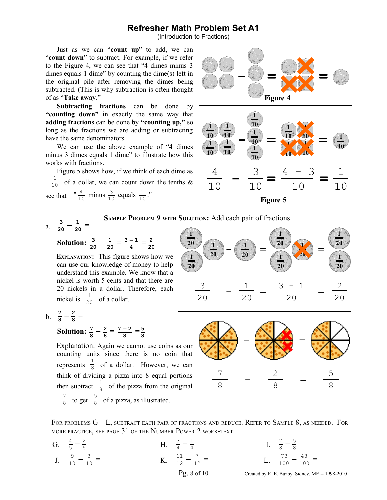(Introduction to Fractions)

Just as we can "**count up**" to add, we can "**count down**" to subtract. For example, if we refer to the Figure 4, we can see that "4 dimes minus 3 dimes equals 1 dime" by counting the dime(s) left in the original pile after removing the dimes being subtracted. (This is why subtraction is often thought of as "**Take away**."

**Subtracting fractions** can be done by **"counting down"** in exactly the same way that **adding fractions** can be done by **"counting up,"** so long as the fractions we are adding or subtracting have the same denominators.

We can use the above example of "4 dimes minus 3 dimes equals 1 dime" to illustrate how this works with fractions.

Figure 5 shows how, if we think of each dime as  $\frac{1}{10}$  of a dollar, we can count down the tenths & see that  $\int_{10}^{4}$  minus  $\frac{3}{10}$  equals  $\frac{1}{10}$ ."





FOR PROBLEMS  $G - L$ , SUBTRACT EACH PAIR OF FRACTIONS AND REDUCE. REFER TO SAMPLE 8, AS NEEDED. FOR MORE PRACTICE, SEE PAGE 31 OF THE NUMBER POWER 2 WORK-TEXT.

G.  $\frac{4}{5} - \frac{2}{5}$ 5  $=$  H.  $\frac{3}{4} - \frac{1}{4}$ 4  $=$  I.  $\frac{7}{8} - \frac{5}{8}$  $\frac{5}{8}$  = J.  $\frac{9}{10} - \frac{3}{10}$  $\frac{3}{10}$  = K.  $\frac{11}{12} - \frac{7}{12}$  $\frac{7}{12}$  = L.  $\frac{73}{100} - \frac{48}{100}$  = Pg. 8 of 10 Created by R. E. Buzby, Sidney, ME -- 1998-2010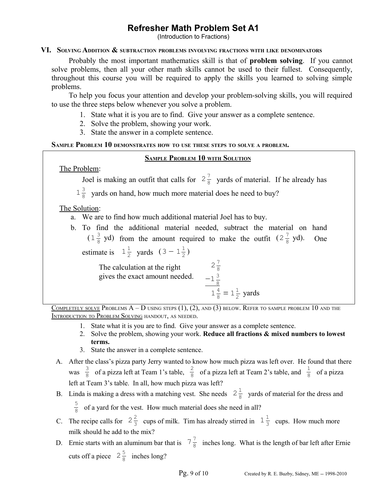(Introduction to Fractions)

## **VI. SOLVING ADDITION & SUBTRACTION PROBLEMS INVOLVING FRACTIONS WITH LIKE DENOMINATORS**

Probably the most important mathematics skill is that of **problem solving**. If you cannot solve problems, then all your other math skills cannot be used to their fullest. Consequently, throughout this course you will be required to apply the skills you learned to solving simple problems.

To help you focus your attention and develop your problem-solving skills, you will required to use the three steps below whenever you solve a problem.

- 1. State what it is you are to find. Give your answer as a complete sentence.
- 2. Solve the problem, showing your work.
- 3. State the answer in a complete sentence.

## **SAMPLE PROBLEM 10 DEMONSTRATES HOW TO USE THESE STEPS TO SOLVE <sup>A</sup> PROBLEM.**

## **SAMPLE PROBLEM 10 WITH SOLUTION**

The Problem:

Joel is making an outfit that calls for  $2\frac{7}{8}$  $\frac{1}{8}$  yards of material. If he already has

 $1\frac{3}{5}$  $\frac{3}{8}$  yards on hand, how much more material does he need to buy?

The Solution:

- a. We are to find how much additional material Joel has to buy.
- b. To find the additional material needed, subtract the material on hand  $(1\frac{3}{8})$  $\frac{3}{8}$  yd) from the amount required to make the outfit  $(2\frac{7}{8})$  $\frac{7}{8}$  yd). One estimate is  $1\frac{1}{2}$  $\frac{1}{2}$  yards  $(3-1\frac{1}{2})$  $\frac{1}{2}$

The calculation at the right gives the exact amount needed.  $2\frac{7}{8}$ 8  $-1\frac{3}{5}$ 

$$
\frac{-1\frac{4}{8}}{1\frac{4}{8}} = 1\frac{1}{2} \text{ yards}
$$

COMPLETELY SOLVE PROBLEMS  $A - D$  using steps  $(1)$ ,  $(2)$ , and  $(3)$  below. Refer to sample problem 10 and the INTRODUCTION TO PROBLEM SOLVING HANDOUT, AS NEEDED.

- 1. State what it is you are to find. Give your answer as a complete sentence.
- 2. Solve the problem, showing your work. **Reduce all fractions & mixed numbers to lowest terms.**
- 3. State the answer in a complete sentence.
- A. After the class's pizza party Jerry wanted to know how much pizza was left over. He found that there was  $\frac{3}{8}$  $\frac{3}{8}$  of a pizza left at Team 1's table,  $\frac{2}{8}$  of a pizza left at Team 2's table, and  $\frac{1}{8}$  of a pizza left at Team 3's table. In all, how much pizza was left?
- B. Linda is making a dress with a matching vest. She needs  $2\frac{1}{8}$  $\frac{1}{8}$  yards of material for the dress and 5  $\frac{3}{8}$  of a yard for the vest. How much material does she need in all?
- C. The recipe calls for  $2\frac{2}{3}$  $\frac{2}{3}$  cups of milk. Tim has already stirred in  $1\frac{1}{3}$  $\frac{1}{3}$  cups. How much more milk should he add to the mix?
- D. Ernie starts with an aluminum bar that is  $7\frac{7}{8}$  $\frac{1}{8}$  inches long. What is the length of bar left after Ernie cuts off a piece  $2\frac{5}{8}$  $\frac{3}{8}$  inches long?